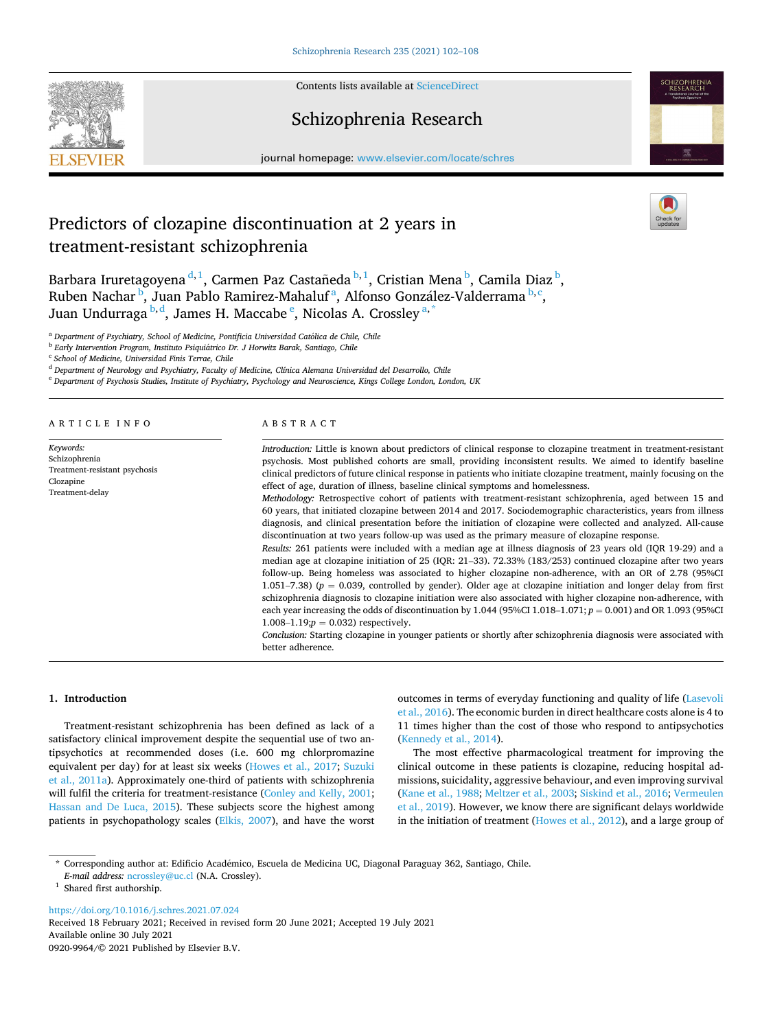

Contents lists available at [ScienceDirect](www.sciencedirect.com/science/journal/09209964)

## Schizophrenia Research



journal homepage: [www.elsevier.com/locate/schres](https://www.elsevier.com/locate/schres)

# Predictors of clozapine discontinuation at 2 years in treatment-resistant schizophrenia



Barbara Iruretagoyena <sup>d, 1</sup>, Carmen Paz Castañeda <sup>b, 1</sup>, Cristian Mena <sup>b</sup>, Camila Diaz <sup>b</sup>, Ruben Nachar <sup>b</sup>, Juan Pablo Ramirez-Mahaluf <sup>a</sup>, Alfonso González-Valderrama <sup>b, c</sup>, Juan Undurraga  $^{\rm b,d}$ , James H. Maccabe  $^{\rm e}$ , Nicolas A. Crossley  $^{\rm a,*}$ 

<sup>a</sup> Department of Psychiatry, School of Medicine, Pontificia Universidad Católica de Chile, Chile

<sup>b</sup> Early Intervention Program, Instituto Psiquiátrico Dr. J Horwitz Barak, Santiago, Chile

<sup>c</sup> *School of Medicine, Universidad Finis Terrae, Chile* 

<sup>d</sup> *Department of Neurology and Psychiatry, Faculty of Medicine, Clínica Alemana Universidad del Desarrollo, Chile* 

<sup>e</sup> *Department of Psychosis Studies, Institute of Psychiatry, Psychology and Neuroscience, Kings College London, London, UK* 

#### ARTICLE INFO *Keywords:*  Schizophrenia Treatment-resistant psychosis Clozapine Treatment-delay ABSTRACT *Introduction:* Little is known about predictors of clinical response to clozapine treatment in treatment-resistant psychosis. Most published cohorts are small, providing inconsistent results. We aimed to identify baseline clinical predictors of future clinical response in patients who initiate clozapine treatment, mainly focusing on the effect of age, duration of illness, baseline clinical symptoms and homelessness. *Methodology:* Retrospective cohort of patients with treatment-resistant schizophrenia, aged between 15 and 60 years, that initiated clozapine between 2014 and 2017. Sociodemographic characteristics, years from illness diagnosis, and clinical presentation before the initiation of clozapine were collected and analyzed. All-cause discontinuation at two years follow-up was used as the primary measure of clozapine response. *Results:* 261 patients were included with a median age at illness diagnosis of 23 years old (IQR 19-29) and a median age at clozapine initiation of 25 (IQR: 21–33). 72.33% (183/253) continued clozapine after two years follow-up. Being homeless was associated to higher clozapine non-adherence, with an OR of 2.78 (95%CI 1.051–7.38) ( $p = 0.039$ , controlled by gender). Older age at clozapine initiation and longer delay from first schizophrenia diagnosis to clozapine initiation were also associated with higher clozapine non-adherence, with each year increasing the odds of discontinuation by  $1.044$  (95%CI  $1.018-1.071$ ;  $p = 0.001$ ) and OR  $1.093$  (95%CI  $1.008-1.19$ ; $p = 0.032$ ) respectively. *Conclusion:* Starting clozapine in younger patients or shortly after schizophrenia diagnosis were associated with better adherence.

## **1. Introduction**

Treatment-resistant schizophrenia has been defined as lack of a satisfactory clinical improvement despite the sequential use of two antipsychotics at recommended doses (i.e. 600 mg chlorpromazine equivalent per day) for at least six weeks [\(Howes et al., 2017;](#page-5-0) [Suzuki](#page-6-0)  [et al., 2011a\)](#page-6-0). Approximately one-third of patients with schizophrenia will fulfil the criteria for treatment-resistance ([Conley and Kelly, 2001](#page-5-0); [Hassan and De Luca, 2015\)](#page-5-0). These subjects score the highest among patients in psychopathology scales ([Elkis, 2007](#page-5-0)), and have the worst outcomes in terms of everyday functioning and quality of life ([Lasevoli](#page-5-0)  [et al., 2016](#page-5-0)). The economic burden in direct healthcare costs alone is 4 to 11 times higher than the cost of those who respond to antipsychotics ([Kennedy et al., 2014\)](#page-5-0).

The most effective pharmacological treatment for improving the clinical outcome in these patients is clozapine, reducing hospital admissions, suicidality, aggressive behaviour, and even improving survival ([Kane et al., 1988](#page-5-0); [Meltzer et al., 2003;](#page-5-0) [Siskind et al., 2016; Vermeulen](#page-6-0)  [et al., 2019](#page-6-0)). However, we know there are significant delays worldwide in the initiation of treatment ([Howes et al., 2012\)](#page-5-0), and a large group of

<https://doi.org/10.1016/j.schres.2021.07.024>

Available online 30 July 2021 0920-9964/© 2021 Published by Elsevier B.V. Received 18 February 2021; Received in revised form 20 June 2021; Accepted 19 July 2021

<sup>\*</sup> Corresponding author at: Edificio Acad´emico, Escuela de Medicina UC, Diagonal Paraguay 362, Santiago, Chile.

*E-mail address:* [ncrossley@uc.cl](mailto:ncrossley@uc.cl) (N.A. Crossley). <sup>1</sup> Shared first authorship.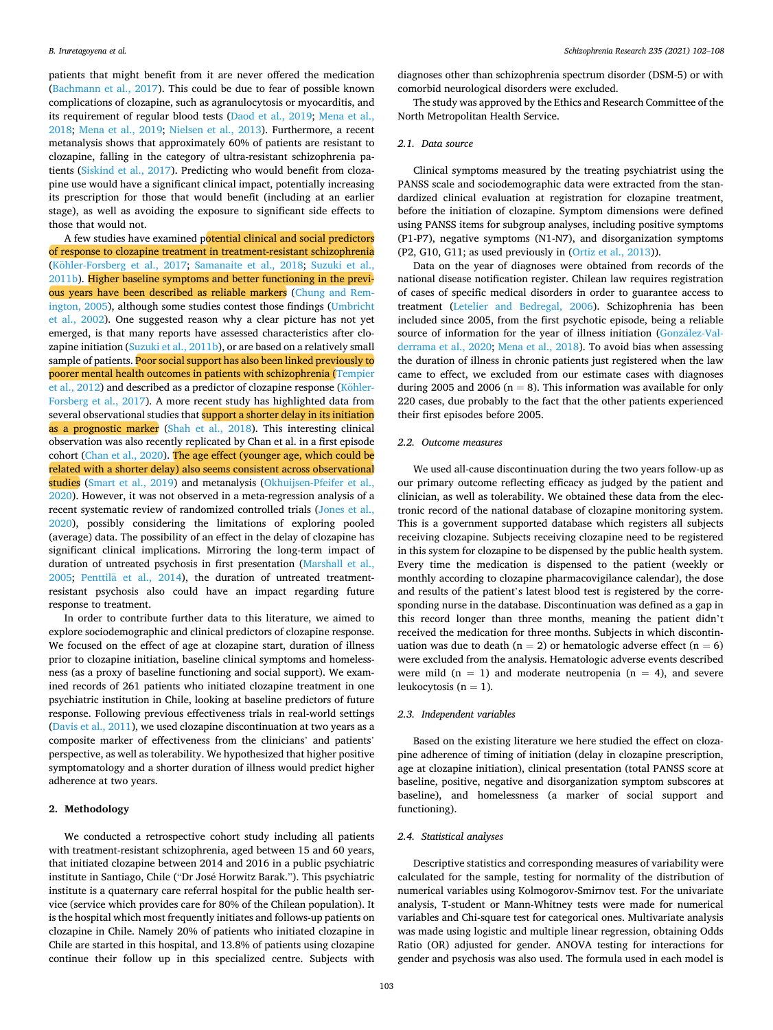patients that might benefit from it are never offered the medication ([Bachmann et al., 2017\)](#page-5-0). This could be due to fear of possible known complications of clozapine, such as agranulocytosis or myocarditis, and its requirement of regular blood tests ([Daod et al., 2019;](#page-5-0) [Mena et al.,](#page-6-0)  [2018;](#page-6-0) [Mena et al., 2019](#page-6-0); [Nielsen et al., 2013](#page-6-0)). Furthermore, a recent metanalysis shows that approximately 60% of patients are resistant to clozapine, falling in the category of ultra-resistant schizophrenia patients ([Siskind et al., 2017\)](#page-6-0). Predicting who would benefit from clozapine use would have a significant clinical impact, potentially increasing its prescription for those that would benefit (including at an earlier stage), as well as avoiding the exposure to significant side effects to those that would not.

A few studies have examined potential clinical and social predictors of response to clozapine treatment in treatment-resistant schizophrenia (Köhler-Forsberg et al., 2017; [Samanaite et al., 2018;](#page-6-0) Suzuki et al., [2011b\)](#page-6-0). Higher baseline symptoms and better functioning in the previ-ous years have been described as reliable markers ([Chung and Rem](#page-5-0)[ington, 2005](#page-5-0)), although some studies contest those findings [\(Umbricht](#page-6-0)  [et al., 2002](#page-6-0)). One suggested reason why a clear picture has not yet emerged, is that many reports have assessed characteristics after clozapine initiation ([Suzuki et al., 2011b](#page-6-0)), or are based on a relatively small sample of patients. Poor social support has also been linked previously to poorer mental health outcomes in patients with schizophrenia [\(Tempier](#page-6-0)  [et al., 2012](#page-6-0)) and described as a predictor of clozapine response (Köhler-[Forsberg et al., 2017](#page-5-0)). A more recent study has highlighted data from several observational studies that support a shorter delay in its initiation as a prognostic marker [\(Shah et al., 2018\)](#page-6-0). This interesting clinical observation was also recently replicated by Chan et al. in a first episode cohort ([Chan et al., 2020\)](#page-5-0). The age effect (younger age, which could be related with a shorter delay) also seems consistent across observational studies [\(Smart et al., 2019\)](#page-6-0) and metanalysis (Okhuijsen-Pfeifer et al., [2020\)](#page-6-0). However, it was not observed in a meta-regression analysis of a recent systematic review of randomized controlled trials ([Jones et al.,](#page-5-0)  [2020\)](#page-5-0), possibly considering the limitations of exploring pooled (average) data. The possibility of an effect in the delay of clozapine has significant clinical implications. Mirroring the long-term impact of duration of untreated psychosis in first presentation ([Marshall et al.,](#page-5-0)   $2005$ ; Penttilä et al.,  $2014$ ), the duration of untreated treatmentresistant psychosis also could have an impact regarding future response to treatment.

In order to contribute further data to this literature, we aimed to explore sociodemographic and clinical predictors of clozapine response. We focused on the effect of age at clozapine start, duration of illness prior to clozapine initiation, baseline clinical symptoms and homelessness (as a proxy of baseline functioning and social support). We examined records of 261 patients who initiated clozapine treatment in one psychiatric institution in Chile, looking at baseline predictors of future response. Following previous effectiveness trials in real-world settings ([Davis et al., 2011](#page-5-0)), we used clozapine discontinuation at two years as a composite marker of effectiveness from the clinicians' and patients' perspective, as well as tolerability. We hypothesized that higher positive symptomatology and a shorter duration of illness would predict higher adherence at two years.

## **2. Methodology**

We conducted a retrospective cohort study including all patients with treatment-resistant schizophrenia, aged between 15 and 60 years, that initiated clozapine between 2014 and 2016 in a public psychiatric institute in Santiago, Chile ("Dr José Horwitz Barak."). This psychiatric institute is a quaternary care referral hospital for the public health service (service which provides care for 80% of the Chilean population). It is the hospital which most frequently initiates and follows-up patients on clozapine in Chile. Namely 20% of patients who initiated clozapine in Chile are started in this hospital, and 13.8% of patients using clozapine continue their follow up in this specialized centre. Subjects with

diagnoses other than schizophrenia spectrum disorder (DSM-5) or with comorbid neurological disorders were excluded.

The study was approved by the Ethics and Research Committee of the North Metropolitan Health Service.

## *2.1. Data source*

Clinical symptoms measured by the treating psychiatrist using the PANSS scale and sociodemographic data were extracted from the standardized clinical evaluation at registration for clozapine treatment, before the initiation of clozapine. Symptom dimensions were defined using PANSS items for subgroup analyses, including positive symptoms (P1-P7), negative symptoms (N1-N7), and disorganization symptoms (P2, G10, G11; as used previously in [\(Ortiz et al., 2013\)](#page-6-0)).

Data on the year of diagnoses were obtained from records of the national disease notification register. Chilean law requires registration of cases of specific medical disorders in order to guarantee access to treatment ([Letelier and Bedregal, 2006](#page-5-0)). Schizophrenia has been included since 2005, from the first psychotic episode, being a reliable source of information for the year of illness initiation (González-Val[derrama et al., 2020](#page-5-0); [Mena et al., 2018](#page-6-0)). To avoid bias when assessing the duration of illness in chronic patients just registered when the law came to effect, we excluded from our estimate cases with diagnoses during 2005 and 2006 ( $n = 8$ ). This information was available for only 220 cases, due probably to the fact that the other patients experienced their first episodes before 2005.

### *2.2. Outcome measures*

We used all-cause discontinuation during the two years follow-up as our primary outcome reflecting efficacy as judged by the patient and clinician, as well as tolerability. We obtained these data from the electronic record of the national database of clozapine monitoring system. This is a government supported database which registers all subjects receiving clozapine. Subjects receiving clozapine need to be registered in this system for clozapine to be dispensed by the public health system. Every time the medication is dispensed to the patient (weekly or monthly according to clozapine pharmacovigilance calendar), the dose and results of the patient's latest blood test is registered by the corresponding nurse in the database. Discontinuation was defined as a gap in this record longer than three months, meaning the patient didn't received the medication for three months. Subjects in which discontinuation was due to death ( $n = 2$ ) or hematologic adverse effect ( $n = 6$ ) were excluded from the analysis. Hematologic adverse events described were mild  $(n = 1)$  and moderate neutropenia  $(n = 4)$ , and severe leukocytosis ( $n = 1$ ).

## *2.3. Independent variables*

Based on the existing literature we here studied the effect on clozapine adherence of timing of initiation (delay in clozapine prescription, age at clozapine initiation), clinical presentation (total PANSS score at baseline, positive, negative and disorganization symptom subscores at baseline), and homelessness (a marker of social support and functioning).

### *2.4. Statistical analyses*

Descriptive statistics and corresponding measures of variability were calculated for the sample, testing for normality of the distribution of numerical variables using Kolmogorov-Smirnov test. For the univariate analysis, T-student or Mann-Whitney tests were made for numerical variables and Chi-square test for categorical ones. Multivariate analysis was made using logistic and multiple linear regression, obtaining Odds Ratio (OR) adjusted for gender. ANOVA testing for interactions for gender and psychosis was also used. The formula used in each model is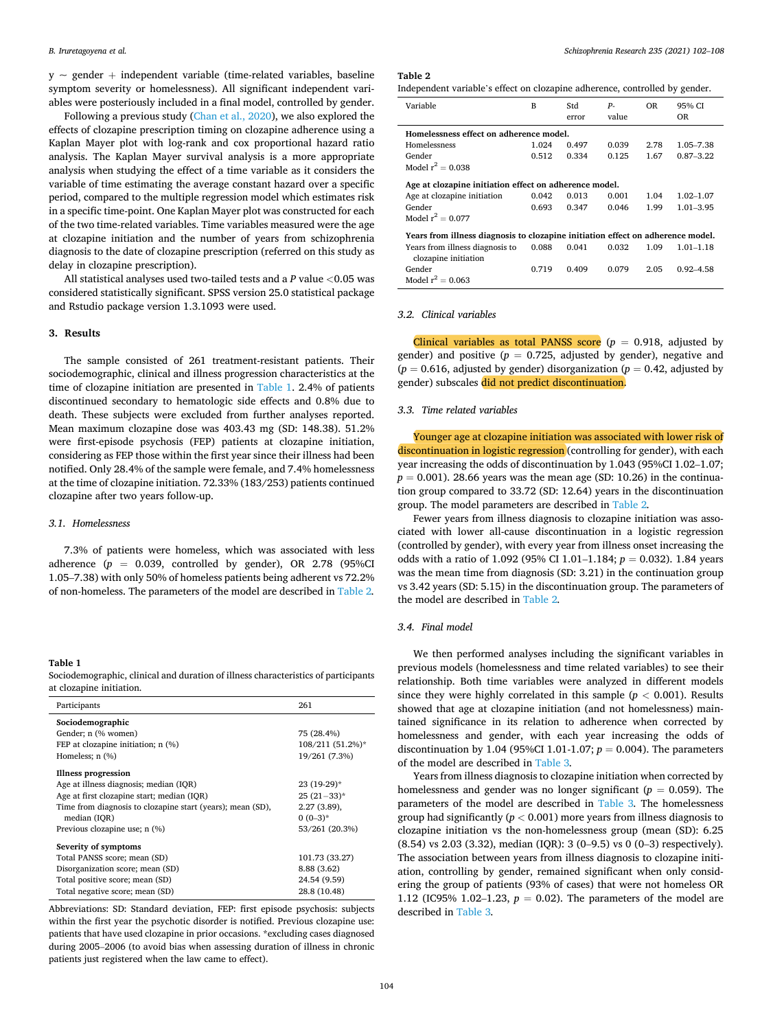$y \sim$  gender + independent variable (time-related variables, baseline symptom severity or homelessness). All significant independent variables were posteriously included in a final model, controlled by gender.

Following a previous study [\(Chan et al., 2020](#page-5-0)), we also explored the effects of clozapine prescription timing on clozapine adherence using a Kaplan Mayer plot with log-rank and cox proportional hazard ratio analysis. The Kaplan Mayer survival analysis is a more appropriate analysis when studying the effect of a time variable as it considers the variable of time estimating the average constant hazard over a specific period, compared to the multiple regression model which estimates risk in a specific time-point. One Kaplan Mayer plot was constructed for each of the two time-related variables. Time variables measured were the age at clozapine initiation and the number of years from schizophrenia diagnosis to the date of clozapine prescription (referred on this study as delay in clozapine prescription).

All statistical analyses used two-tailed tests and a *P* value *<*0.05 was considered statistically significant. SPSS version 25.0 statistical package and Rstudio package version 1.3.1093 were used.

## **3. Results**

The sample consisted of 261 treatment-resistant patients. Their sociodemographic, clinical and illness progression characteristics at the time of clozapine initiation are presented in Table 1. 2.4% of patients discontinued secondary to hematologic side effects and 0.8% due to death. These subjects were excluded from further analyses reported. Mean maximum clozapine dose was 403.43 mg (SD: 148.38). 51.2% were first-episode psychosis (FEP) patients at clozapine initiation, considering as FEP those within the first year since their illness had been notified. Only 28.4% of the sample were female, and 7.4% homelessness at the time of clozapine initiation. 72.33% (183/253) patients continued clozapine after two years follow-up.

## *3.1. Homelessness*

7.3% of patients were homeless, which was associated with less adherence  $(p = 0.039,$  controlled by gender), OR 2.78 (95%CI 1.05–7.38) with only 50% of homeless patients being adherent vs 72.2% of non-homeless. The parameters of the model are described in Table 2*.* 

## **Table 1**

Sociodemographic, clinical and duration of illness characteristics of participants at clozapine initiation.

| Participants                                               | 261              |  |  |
|------------------------------------------------------------|------------------|--|--|
| Sociodemographic                                           |                  |  |  |
| Gender; n (% women)                                        | 75 (28.4%)       |  |  |
| FEP at clozapine initiation; n (%)                         | 108/211 (51.2%)* |  |  |
| Homeless; $n$ $(\%)$                                       | 19/261 (7.3%)    |  |  |
| Illness progression                                        |                  |  |  |
| Age at illness diagnosis; median (IOR)                     | 23 (19-29)*      |  |  |
| Age at first clozapine start; median (IQR)                 | $25(21-33)*$     |  |  |
| Time from diagnosis to clozapine start (years); mean (SD), | $2.27(3.89)$ ,   |  |  |
| median (IOR)                                               | $0(0-3)*$        |  |  |
| Previous clozapine use; n (%)                              | 53/261 (20.3%)   |  |  |
| Severity of symptoms                                       |                  |  |  |
| Total PANSS score; mean (SD)                               | 101.73 (33.27)   |  |  |
| Disorganization score; mean (SD)                           | 8.88 (3.62)      |  |  |
| Total positive score; mean (SD)                            | 24.54 (9.59)     |  |  |
| Total negative score; mean (SD)                            | 28.8 (10.48)     |  |  |

Abbreviations: SD: Standard deviation, FEP: first episode psychosis: subjects within the first year the psychotic disorder is notified. Previous clozapine use: patients that have used clozapine in prior occasions. \*excluding cases diagnosed during 2005–2006 (to avoid bias when assessing duration of illness in chronic patients just registered when the law came to effect).

#### **Table 2**

| Independent variable's effect on clozapine adherence, controlled by gender. |  |  |  |
|-----------------------------------------------------------------------------|--|--|--|
|                                                                             |  |  |  |

| Variable                                                                        | B     | Std<br>error | $P-$<br>value | <b>OR</b> | 95% CI<br><b>OR</b> |  |  |
|---------------------------------------------------------------------------------|-------|--------------|---------------|-----------|---------------------|--|--|
| Homelessness effect on adherence model.                                         |       |              |               |           |                     |  |  |
| <b>Homelessness</b>                                                             | 1.024 | 0.497        | 0.039         | 2.78      | 1.05-7.38           |  |  |
| Gender                                                                          | 0.512 | 0.334        | 0.125         | 1.67      | $0.87 - 3.22$       |  |  |
| Model $r^2 = 0.038$                                                             |       |              |               |           |                     |  |  |
| Age at clozapine initiation effect on adherence model.                          |       |              |               |           |                     |  |  |
| Age at clozapine initiation                                                     | 0.042 | 0.013        | 0.001         | 1.04      | $1.02 - 1.07$       |  |  |
| Gender                                                                          | 0.693 | 0.347        | 0.046         | 1.99      | $1.01 - 3.95$       |  |  |
| Model $r^2 = 0.077$                                                             |       |              |               |           |                     |  |  |
| Years from illness diagnosis to clozapine initiation effect on adherence model. |       |              |               |           |                     |  |  |
| Years from illness diagnosis to<br>clozapine initiation                         | 0.088 | 0.041        | 0.032         | 1.09      | $1.01 - 1.18$       |  |  |
| Gender                                                                          | 0.719 | 0.409        | 0.079         | 2.05      | $0.92 - 4.58$       |  |  |
| Model $r^2 = 0.063$                                                             |       |              |               |           |                     |  |  |

#### *3.2. Clinical variables*

Clinical variables as total PANSS score  $(p = 0.918,$  adjusted by gender) and positive  $(p = 0.725,$  adjusted by gender), negative and  $(p = 0.616,$  adjusted by gender) disorganization  $(p = 0.42,$  adjusted by gender) subscales did not predict discontinuation.

## *3.3. Time related variables*

Younger age at clozapine initiation was associated with lower risk of discontinuation in logistic regression (controlling for gender), with each year increasing the odds of discontinuation by 1.043 (95%CI 1.02–1.07;  $p = 0.001$ ). 28.66 years was the mean age (SD: 10.26) in the continuation group compared to 33.72 (SD: 12.64) years in the discontinuation group. The model parameters are described in Table 2*.* 

Fewer years from illness diagnosis to clozapine initiation was associated with lower all-cause discontinuation in a logistic regression (controlled by gender), with every year from illness onset increasing the odds with a ratio of 1.092 (95% CI 1.01–1.184; *p* = 0.032). 1.84 years was the mean time from diagnosis (SD: 3.21) in the continuation group vs 3.42 years (SD: 5.15) in the discontinuation group. The parameters of the model are described in Table 2*.* 

## *3.4. Final model*

We then performed analyses including the significant variables in previous models (homelessness and time related variables) to see their relationship. Both time variables were analyzed in different models since they were highly correlated in this sample (*p <* 0.001). Results showed that age at clozapine initiation (and not homelessness) maintained significance in its relation to adherence when corrected by homelessness and gender, with each year increasing the odds of discontinuation by 1.04 (95%CI 1.01-1.07; *p* = 0.004). The parameters of the model are described in [Table 3](#page-3-0)*.* 

Years from illness diagnosis to clozapine initiation when corrected by homelessness and gender was no longer significant ( $p = 0.059$ ). The parameters of the model are described in [Table 3](#page-3-0)*.* The homelessness group had significantly (*p <* 0.001) more years from illness diagnosis to clozapine initiation vs the non-homelessness group (mean (SD): 6.25 (8.54) vs 2.03 (3.32), median (IQR): 3 (0–9.5) vs 0 (0–3) respectively). The association between years from illness diagnosis to clozapine initiation, controlling by gender, remained significant when only considering the group of patients (93% of cases) that were not homeless OR 1.12 (IC95% 1.02-1.23,  $p = 0.02$ ). The parameters of the model are described in [Table 3](#page-3-0)*.*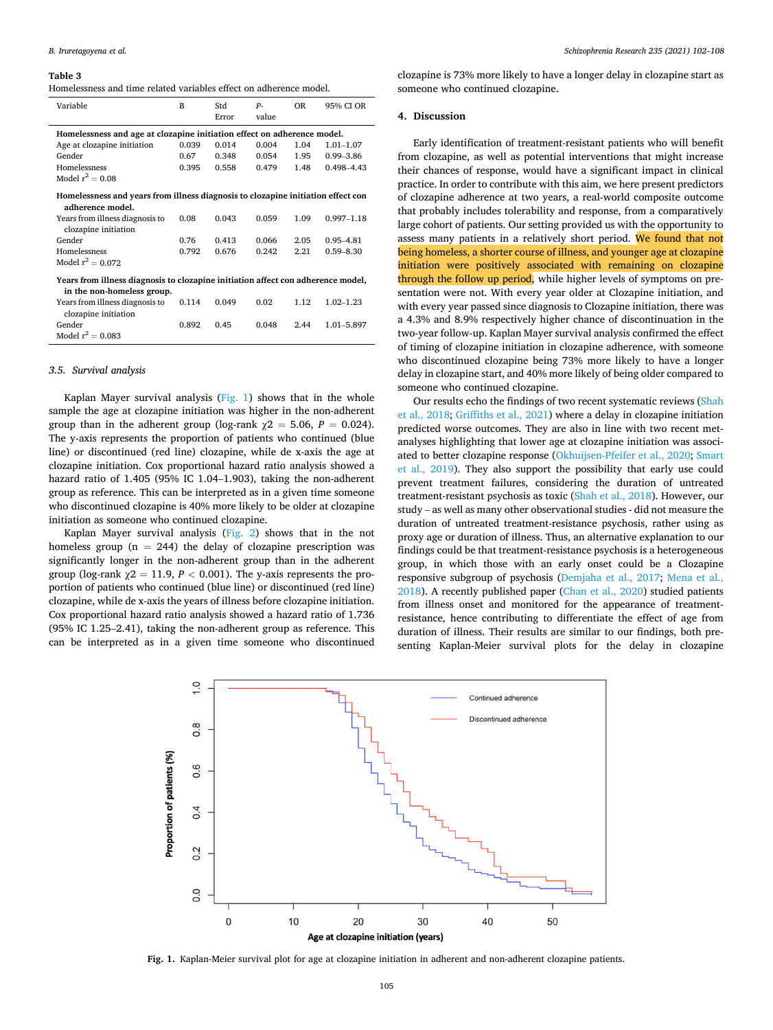#### <span id="page-3-0"></span>**Table 3**

| Homelessness and time related variables effect on adherence model. |
|--------------------------------------------------------------------|
|--------------------------------------------------------------------|

| Variable                                                                                                       | B     | Std   | $P-$  | <b>OR</b> | 95% CI OR      |
|----------------------------------------------------------------------------------------------------------------|-------|-------|-------|-----------|----------------|
|                                                                                                                |       | Error | value |           |                |
| Homelessness and age at clozapine initiation effect on adherence model.                                        |       |       |       |           |                |
| Age at clozapine initiation                                                                                    | 0.039 | 0.014 | 0.004 | 1.04      | $1.01 - 1.07$  |
| Gender                                                                                                         | 0.67  | 0.348 | 0.054 | 1.95      | $0.99 - 3.86$  |
| Homelessness                                                                                                   | 0.395 | 0.558 | 0.479 | 1.48      | $0.498 - 4.43$ |
| Model $r^2 = 0.08$                                                                                             |       |       |       |           |                |
| Homelessness and years from illness diagnosis to clozapine initiation effect con<br>adherence model.           |       |       |       |           |                |
| Years from illness diagnosis to<br>clozapine initiation                                                        | 0.08  | 0.043 | 0.059 | 1.09      | $0.997 - 1.18$ |
| Gender                                                                                                         | 0.76  | 0.413 | 0.066 | 2.05      | $0.95 - 4.81$  |
| Homelessness                                                                                                   | 0.792 | 0.676 | 0.242 | 2.21      | $0.59 - 8.30$  |
| Model $r^2 = 0.072$                                                                                            |       |       |       |           |                |
| Years from illness diagnosis to clozapine initiation affect con adherence model,<br>in the non-homeless group. |       |       |       |           |                |
| Years from illness diagnosis to<br>clozapine initiation                                                        | 0.114 | 0.049 | 0.02  | 1.12      | $1.02 - 1.23$  |
| Gender                                                                                                         | 0.892 | 0.45  | 0.048 | 2.44      | 1.01-5.897     |
| Model $r^2 = 0.083$                                                                                            |       |       |       |           |                |

## *3.5. Survival analysis*

Kaplan Mayer survival analysis  $(Fig, 1)$  shows that in the whole sample the age at clozapine initiation was higher in the non-adherent group than in the adherent group (log-rank  $\chi$ 2 = 5.06, *P* = 0.024). The y-axis represents the proportion of patients who continued (blue line) or discontinued (red line) clozapine, while de x-axis the age at clozapine initiation. Cox proportional hazard ratio analysis showed a hazard ratio of 1.405 (95% IC 1.04–1.903), taking the non-adherent group as reference. This can be interpreted as in a given time someone who discontinued clozapine is 40% more likely to be older at clozapine initiation as someone who continued clozapine.

Kaplan Mayer survival analysis [\(Fig. 2\)](#page-4-0) shows that in the not homeless group ( $n = 244$ ) the delay of clozapine prescription was significantly longer in the non-adherent group than in the adherent group (log-rank  $\chi$ 2 = 11.9, *P* < 0.001). The y-axis represents the proportion of patients who continued (blue line) or discontinued (red line) clozapine, while de x-axis the years of illness before clozapine initiation. Cox proportional hazard ratio analysis showed a hazard ratio of 1.736 (95% IC 1.25–2.41), taking the non-adherent group as reference. This can be interpreted as in a given time someone who discontinued

clozapine is 73% more likely to have a longer delay in clozapine start as someone who continued clozapine.

#### **4. Discussion**

Early identification of treatment-resistant patients who will benefit from clozapine, as well as potential interventions that might increase their chances of response, would have a significant impact in clinical practice. In order to contribute with this aim, we here present predictors of clozapine adherence at two years, a real-world composite outcome that probably includes tolerability and response, from a comparatively large cohort of patients. Our setting provided us with the opportunity to assess many patients in a relatively short period. We found that not being homeless, a shorter course of illness, and younger age at clozapine initiation were positively associated with remaining on clozapine through the follow up period, while higher levels of symptoms on presentation were not. With every year older at Clozapine initiation, and with every year passed since diagnosis to Clozapine initiation, there was a 4.3% and 8.9% respectively higher chance of discontinuation in the two-year follow-up. Kaplan Mayer survival analysis confirmed the effect of timing of clozapine initiation in clozapine adherence, with someone who discontinued clozapine being 73% more likely to have a longer delay in clozapine start, and 40% more likely of being older compared to someone who continued clozapine.

Our results echo the findings of two recent systematic reviews [\(Shah](#page-6-0)  [et al., 2018;](#page-6-0) [Griffiths et al., 2021\)](#page-5-0) where a delay in clozapine initiation predicted worse outcomes. They are also in line with two recent metanalyses highlighting that lower age at clozapine initiation was associated to better clozapine response [\(Okhuijsen-Pfeifer et al., 2020](#page-6-0); [Smart](#page-6-0)  [et al., 2019\)](#page-6-0). They also support the possibility that early use could prevent treatment failures, considering the duration of untreated treatment-resistant psychosis as toxic ([Shah et al., 2018](#page-6-0)). However, our study – as well as many other observational studies - did not measure the duration of untreated treatment-resistance psychosis, rather using as proxy age or duration of illness. Thus, an alternative explanation to our findings could be that treatment-resistance psychosis is a heterogeneous group, in which those with an early onset could be a Clozapine responsive subgroup of psychosis ([Demjaha et al., 2017;](#page-5-0) [Mena et al.,](#page-6-0)  [2018\)](#page-6-0). A recently published paper [\(Chan et al., 2020\)](#page-5-0) studied patients from illness onset and monitored for the appearance of treatmentresistance, hence contributing to differentiate the effect of age from duration of illness. Their results are similar to our findings, both presenting Kaplan-Meier survival plots for the delay in clozapine



**Fig. 1.** Kaplan-Meier survival plot for age at clozapine initiation in adherent and non-adherent clozapine patients.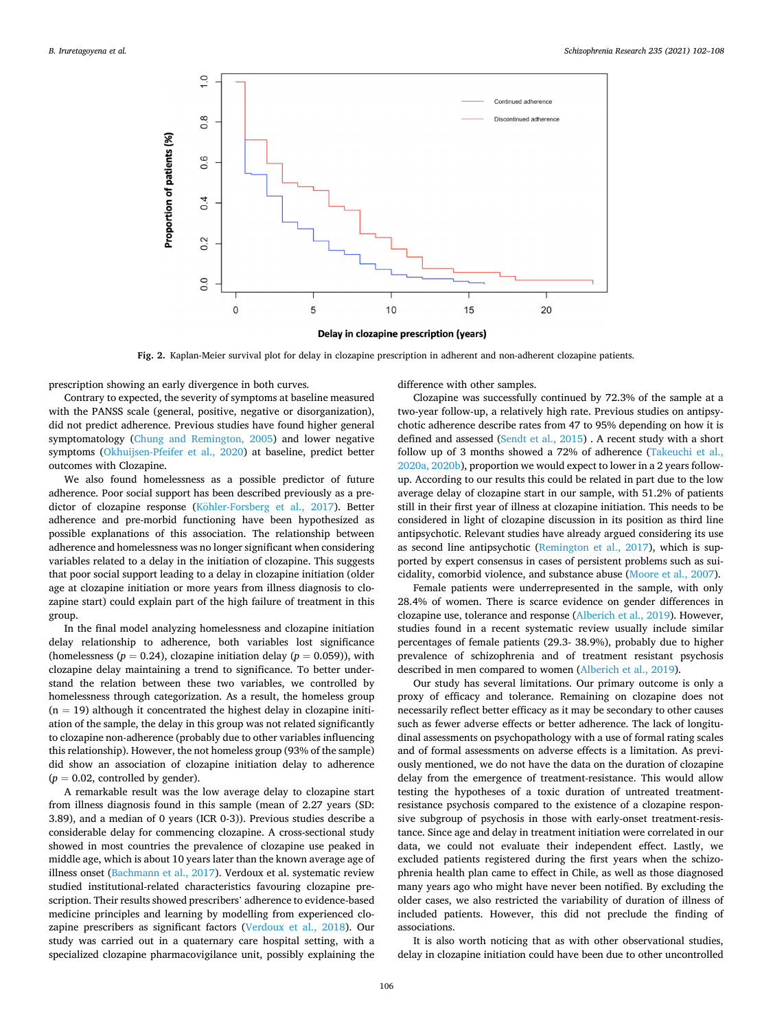<span id="page-4-0"></span>

**Fig. 2.** Kaplan-Meier survival plot for delay in clozapine prescription in adherent and non-adherent clozapine patients.

prescription showing an early divergence in both curves.

Contrary to expected, the severity of symptoms at baseline measured with the PANSS scale (general, positive, negative or disorganization), did not predict adherence. Previous studies have found higher general symptomatology [\(Chung and Remington, 2005](#page-5-0)) and lower negative symptoms ([Okhuijsen-Pfeifer et al., 2020\)](#page-6-0) at baseline, predict better outcomes with Clozapine.

We also found homelessness as a possible predictor of future adherence. Poor social support has been described previously as a predictor of clozapine response (Köhler-Forsberg et al., 2017). Better adherence and pre-morbid functioning have been hypothesized as possible explanations of this association. The relationship between adherence and homelessness was no longer significant when considering variables related to a delay in the initiation of clozapine. This suggests that poor social support leading to a delay in clozapine initiation (older age at clozapine initiation or more years from illness diagnosis to clozapine start) could explain part of the high failure of treatment in this group.

In the final model analyzing homelessness and clozapine initiation delay relationship to adherence, both variables lost significance (homelessness ( $p = 0.24$ ), clozapine initiation delay ( $p = 0.059$ )), with clozapine delay maintaining a trend to significance. To better understand the relation between these two variables, we controlled by homelessness through categorization. As a result, the homeless group  $(n = 19)$  although it concentrated the highest delay in clozapine initiation of the sample, the delay in this group was not related significantly to clozapine non-adherence (probably due to other variables influencing this relationship). However, the not homeless group (93% of the sample) did show an association of clozapine initiation delay to adherence  $(p = 0.02$ , controlled by gender).

A remarkable result was the low average delay to clozapine start from illness diagnosis found in this sample (mean of 2.27 years (SD: 3.89), and a median of 0 years (ICR 0-3)). Previous studies describe a considerable delay for commencing clozapine. A cross-sectional study showed in most countries the prevalence of clozapine use peaked in middle age, which is about 10 years later than the known average age of illness onset ([Bachmann et al., 2017\)](#page-5-0). Verdoux et al. systematic review studied institutional-related characteristics favouring clozapine prescription. Their results showed prescribers' adherence to evidence-based medicine principles and learning by modelling from experienced clozapine prescribers as significant factors [\(Verdoux et al., 2018](#page-6-0)). Our study was carried out in a quaternary care hospital setting, with a specialized clozapine pharmacovigilance unit, possibly explaining the

difference with other samples.

Clozapine was successfully continued by 72.3% of the sample at a two-year follow-up, a relatively high rate. Previous studies on antipsychotic adherence describe rates from 47 to 95% depending on how it is defined and assessed [\(Sendt et al., 2015](#page-6-0)) . A recent study with a short follow up of 3 months showed a 72% of adherence [\(Takeuchi et al.,](#page-6-0)  [2020a, 2020b\)](#page-6-0), proportion we would expect to lower in a 2 years followup. According to our results this could be related in part due to the low average delay of clozapine start in our sample, with 51.2% of patients still in their first year of illness at clozapine initiation. This needs to be considered in light of clozapine discussion in its position as third line antipsychotic. Relevant studies have already argued considering its use as second line antipsychotic [\(Remington et al., 2017\)](#page-6-0), which is supported by expert consensus in cases of persistent problems such as suicidality, comorbid violence, and substance abuse [\(Moore et al., 2007](#page-6-0)).

Female patients were underrepresented in the sample, with only 28.4% of women. There is scarce evidence on gender differences in clozapine use, tolerance and response [\(Alberich et al., 2019](#page-5-0)). However, studies found in a recent systematic review usually include similar percentages of female patients (29.3- 38.9%), probably due to higher prevalence of schizophrenia and of treatment resistant psychosis described in men compared to women [\(Alberich et al., 2019\)](#page-5-0).

Our study has several limitations. Our primary outcome is only a proxy of efficacy and tolerance. Remaining on clozapine does not necessarily reflect better efficacy as it may be secondary to other causes such as fewer adverse effects or better adherence. The lack of longitudinal assessments on psychopathology with a use of formal rating scales and of formal assessments on adverse effects is a limitation. As previously mentioned, we do not have the data on the duration of clozapine delay from the emergence of treatment-resistance. This would allow testing the hypotheses of a toxic duration of untreated treatmentresistance psychosis compared to the existence of a clozapine responsive subgroup of psychosis in those with early-onset treatment-resistance. Since age and delay in treatment initiation were correlated in our data, we could not evaluate their independent effect. Lastly, we excluded patients registered during the first years when the schizophrenia health plan came to effect in Chile, as well as those diagnosed many years ago who might have never been notified. By excluding the older cases, we also restricted the variability of duration of illness of included patients. However, this did not preclude the finding of associations.

It is also worth noticing that as with other observational studies, delay in clozapine initiation could have been due to other uncontrolled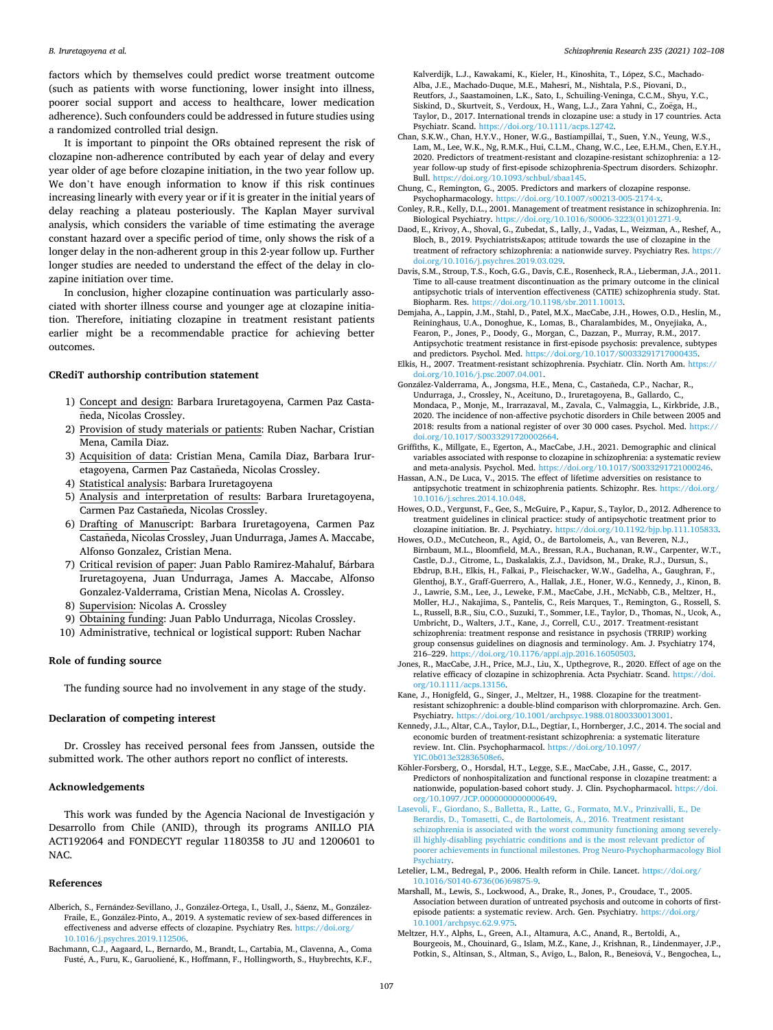<span id="page-5-0"></span>factors which by themselves could predict worse treatment outcome (such as patients with worse functioning, lower insight into illness, poorer social support and access to healthcare, lower medication adherence). Such confounders could be addressed in future studies using a randomized controlled trial design.

It is important to pinpoint the ORs obtained represent the risk of clozapine non-adherence contributed by each year of delay and every year older of age before clozapine initiation, in the two year follow up. We don't have enough information to know if this risk continues increasing linearly with every year or if it is greater in the initial years of delay reaching a plateau posteriously. The Kaplan Mayer survival analysis, which considers the variable of time estimating the average constant hazard over a specific period of time, only shows the risk of a longer delay in the non-adherent group in this 2-year follow up. Further longer studies are needed to understand the effect of the delay in clozapine initiation over time.

In conclusion, higher clozapine continuation was particularly associated with shorter illness course and younger age at clozapine initiation. Therefore, initiating clozapine in treatment resistant patients earlier might be a recommendable practice for achieving better outcomes.

## **CRediT authorship contribution statement**

- 1) Concept and design: Barbara Iruretagoyena, Carmen Paz Castañeda, Nicolas Crossley.
- 2) Provision of study materials or patients: Ruben Nachar, Cristian Mena, Camila Diaz.
- 3) Acquisition of data: Cristian Mena, Camila Diaz, Barbara Iruretagoyena, Carmen Paz Castañeda, Nicolas Crossley.
- 4) Statistical analysis: Barbara Iruretagoyena
- 5) Analysis and interpretation of results: Barbara Iruretagoyena, Carmen Paz Castañeda, Nicolas Crossley.
- 6) Drafting of Manuscript: Barbara Iruretagoyena, Carmen Paz Castañeda, Nicolas Crossley, Juan Undurraga, James A. Maccabe, Alfonso Gonzalez, Cristian Mena.
- 7) Critical revision of paper: Juan Pablo Ramirez-Mahaluf, Bárbara Iruretagoyena, Juan Undurraga, James A. Maccabe, Alfonso Gonzalez-Valderrama, Cristian Mena, Nicolas A. Crossley.
- 8) Supervision: Nicolas A. Crossley
- 9) Obtaining funding: Juan Pablo Undurraga, Nicolas Crossley.
- 10) Administrative, technical or logistical support: Ruben Nachar

#### **Role of funding source**

The funding source had no involvement in any stage of the study.

## **Declaration of competing interest**

Dr. Crossley has received personal fees from Janssen, outside the submitted work. The other authors report no conflict of interests.

## **Acknowledgements**

This work was funded by the Agencia Nacional de Investigación y Desarrollo from Chile (ANID), through its programs ANILLO PIA ACT192064 and FONDECYT regular 1180358 to JU and 1200601 to NAC.

#### **References**

- Alberich, S., Fernández-Sevillano, J., González-Ortega, I., Usall, J., Sáenz, M., González-Fraile, E., González-Pinto, A., 2019. A systematic review of sex-based differences in effectiveness and adverse effects of clozapine. Psychiatry Res. [https://doi.org/](https://doi.org/10.1016/j.psychres.2019.112506)  [10.1016/j.psychres.2019.112506](https://doi.org/10.1016/j.psychres.2019.112506).
- Bachmann, C.J., Aagaard, L., Bernardo, M., Brandt, L., Cartabia, M., Clavenna, A., Coma Fusté, A., Furu, K., Garuoliené, K., Hoffmann, F., Hollingworth, S., Huybrechts, K.F.,

Kalverdijk, L.J., Kawakami, K., Kieler, H., Kinoshita, T., López, S.C., Machado-Alba, J.E., Machado-Duque, M.E., Mahesri, M., Nishtala, P.S., Piovani, D., Reutfors, J., Saastamoinen, L.K., Sato, I., Schuiling-Veninga, C.C.M., Shyu, Y.C., Siskind, D., Skurtveit, S., Verdoux, H., Wang, L.J., Zara Yahni, C., Zoëga, H., Taylor, D., 2017. International trends in clozapine use: a study in 17 countries. Acta Psychiatr. Scand. <https://doi.org/10.1111/acps.12742>.

Chan, S.K.W., Chan, H.Y.V., Honer, W.G., Bastiampillai, T., Suen, Y.N., Yeung, W.S., Lam, M., Lee, W.K., Ng, R.M.K., Hui, C.L.M., Chang, W.C., Lee, E.H.M., Chen, E.Y.H., 2020. Predictors of treatment-resistant and clozapine-resistant schizophrenia: a 12 year follow-up study of first-episode schizophrenia-Spectrum disorders. Schizophr. Bull. <https://doi.org/10.1093/schbul/sbaa145>.

Chung, C., Remington, G., 2005. Predictors and markers of clozapine response. Psychopharmacology. https://doi.org/10.1007/s00213-005-217

- Conley, R.R., Kelly, D.L., 2001. Management of treatment resistance in schizophrenia. In: Biological Psychiatry. [https://doi.org/10.1016/S0006-3223\(01\)01271-9.](https://doi.org/10.1016/S0006-3223(01)01271-9)
- Daod, E., Krivoy, A., Shoval, G., Zubedat, S., Lally, J., Vadas, L., Weizman, A., Reshef, A., Bloch, B., 2019. Psychiatrists' attitude towards the use of clozapine in the treatment of refractory schizophrenia: a nationwide survey. Psychiatry Res. [https://](https://doi.org/10.1016/j.psychres.2019.03.029)  [doi.org/10.1016/j.psychres.2019.03.029.](https://doi.org/10.1016/j.psychres.2019.03.029)

Davis, S.M., Stroup, T.S., Koch, G.G., Davis, C.E., Rosenheck, R.A., Lieberman, J.A., 2011. Time to all-cause treatment discontinuation as the primary outcome in the clinical antipsychotic trials of intervention effectiveness (CATIE) schizophrenia study. Stat. Biopharm. Res. <https://doi.org/10.1198/sbr.2011.10013>.

Demjaha, A., Lappin, J.M., Stahl, D., Patel, M.X., MacCabe, J.H., Howes, O.D., Heslin, M., Reininghaus, U.A., Donoghue, K., Lomas, B., Charalambides, M., Onyejiaka, A., Fearon, P., Jones, P., Doody, G., Morgan, C., Dazzan, P., Murray, R.M., 2017. Antipsychotic treatment resistance in first-episode psychosis: prevalence, subtypes and predictors. Psychol. Med. [https://doi.org/10.1017/S0033291717000435.](https://doi.org/10.1017/S0033291717000435)

Elkis, H., 2007. Treatment-resistant schizophrenia. Psychiatr. Clin. North Am. [https://](https://doi.org/10.1016/j.psc.2007.04.001)  [doi.org/10.1016/j.psc.2007.04.001.](https://doi.org/10.1016/j.psc.2007.04.001)

- González-Valderrama, A., Jongsma, H.E., Mena, C., Castañeda, C.P., Nachar, R., Undurraga, J., Crossley, N., Aceituno, D., Iruretagoyena, B., Gallardo, C., Mondaca, P., Monje, M., Irarrazaval, M., Zavala, C., Valmaggia, L., Kirkbride, J.B., 2020. The incidence of non-affective psychotic disorders in Chile between 2005 and 2018: results from a national register of over 30 000 cases. Psychol. Med. [https://](https://doi.org/10.1017/S0033291720002664)  [doi.org/10.1017/S0033291720002664.](https://doi.org/10.1017/S0033291720002664)
- Griffiths, K., Millgate, E., Egerton, A., MacCabe, J.H., 2021. Demographic and clinical variables associated with response to clozapine in schizophrenia: a systematic review and meta-analysis. Psychol. Med. [https://doi.org/10.1017/S0033291721000246.](https://doi.org/10.1017/S0033291721000246)
- Hassan, A.N., De Luca, V., 2015. The effect of lifetime adversities on resistance to antipsychotic treatment in schizophrenia patients. Schizophr. Res. [https://doi.org/](https://doi.org/10.1016/j.schres.2014.10.048) [10.1016/j.schres.2014.10.048.](https://doi.org/10.1016/j.schres.2014.10.048)
- Howes, O.D., Vergunst, F., Gee, S., McGuire, P., Kapur, S., Taylor, D., 2012. Adherence to treatment guidelines in clinical practice: study of antipsychotic treatment prior to clozapine initiation. Br. J. Psychiatry. <https://doi.org/10.1192/bjp.bp.111.105833>. Howes, O.D., McCutcheon, R., Agid, O., de Bartolomeis, A., van Beveren, N.J.,
- Birnbaum, M.L., Bloomfield, M.A., Bressan, R.A., Buchanan, R.W., Carpenter, W.T., Castle, D.J., Citrome, L., Daskalakis, Z.J., Davidson, M., Drake, R.J., Dursun, S., Ebdrup, B.H., Elkis, H., Falkai, P., Fleischacker, W.W., Gadelha, A., Gaughran, F., Glenthoj, B.Y., Graff-Guerrero, A., Hallak, J.E., Honer, W.G., Kennedy, J., Kinon, B. J., Lawrie, S.M., Lee, J., Leweke, F.M., MacCabe, J.H., McNabb, C.B., Meltzer, H., Moller, H.J., Nakajima, S., Pantelis, C., Reis Marques, T., Remington, G., Rossell, S. L., Russell, B.R., Siu, C.O., Suzuki, T., Sommer, I.E., Taylor, D., Thomas, N., Ucok, A., Umbricht, D., Walters, J.T., Kane, J., Correll, C.U., 2017. Treatment-resistant schizophrenia: treatment response and resistance in psychosis (TRRIP) working group consensus guidelines on diagnosis and terminology. Am. J. Psychiatry 174, 216–229. <https://doi.org/10.1176/appi.ajp.2016.16050503>.
- Jones, R., MacCabe, J.H., Price, M.J., Liu, X., Upthegrove, R., 2020. Effect of age on the relative efficacy of clozapine in schizophrenia. Acta Psychiatr. Scand. [https://doi.](https://doi.org/10.1111/acps.13156)  [org/10.1111/acps.13156](https://doi.org/10.1111/acps.13156).
- Kane, J., Honigfeld, G., Singer, J., Meltzer, H., 1988. Clozapine for the treatmentresistant schizophrenic: a double-blind comparison with chlorpromazine. Arch. Gen. Psychiatry. [https://doi.org/10.1001/archpsyc.1988.01800330013001.](https://doi.org/10.1001/archpsyc.1988.01800330013001)
- Kennedy, J.L., Altar, C.A., Taylor, D.L., Degtiar, I., Hornberger, J.C., 2014. The social and economic burden of treatment-resistant schizophrenia: a systematic literature review. Int. Clin. Psychopharmacol. [https://doi.org/10.1097/](https://doi.org/10.1097/YIC.0b013e32836508e6) [YIC.0b013e32836508e6.](https://doi.org/10.1097/YIC.0b013e32836508e6)

Köhler-Forsberg, O., Horsdal, H.T., Legge, S.E., MacCabe, J.H., Gasse, C., 2017. Predictors of nonhospitalization and functional response in clozapine treatment: a nationwide, population-based cohort study. J. Clin. Psychopharmacol. [https://doi.](https://doi.org/10.1097/JCP.0000000000000649) [org/10.1097/JCP.0000000000000649](https://doi.org/10.1097/JCP.0000000000000649).

- [Lasevoli, F., Giordano, S., Balletta, R., Latte, G., Formato, M.V., Prinzivalli, E., De](http://refhub.elsevier.com/S0920-9964(21)00277-2/rf5000)  [Berardis, D., Tomasetti, C., de Bartolomeis, A., 2016. Treatment resistant](http://refhub.elsevier.com/S0920-9964(21)00277-2/rf5000) [schizophrenia is associated with the worst community functioning among severely](http://refhub.elsevier.com/S0920-9964(21)00277-2/rf5000)[ill highly-disabling psychiatric conditions and is the most relevant predictor of](http://refhub.elsevier.com/S0920-9964(21)00277-2/rf5000) [poorer achievements in functional milestones. Prog Neuro-Psychopharmacology Biol](http://refhub.elsevier.com/S0920-9964(21)00277-2/rf5000)  [Psychiatry](http://refhub.elsevier.com/S0920-9964(21)00277-2/rf5000).
- Letelier, L.M., Bedregal, P., 2006. Health reform in Chile. Lancet. [https://doi.org/](https://doi.org/10.1016/S0140-6736(06)69875-9)  [10.1016/S0140-6736\(06\)69875-9.](https://doi.org/10.1016/S0140-6736(06)69875-9)
- Marshall, M., Lewis, S., Lockwood, A., Drake, R., Jones, P., Croudace, T., 2005. Association between duration of untreated psychosis and outcome in cohorts of firstepisode patients: a systematic review. Arch. Gen. Psychiatry. [https://doi.org/](https://doi.org/10.1001/archpsyc.62.9.975) [10.1001/archpsyc.62.9.975.](https://doi.org/10.1001/archpsyc.62.9.975)
- Meltzer, H.Y., Alphs, L., Green, A.I., Altamura, A.C., Anand, R., Bertoldi, A., Bourgeois, M., Chouinard, G., Islam, M.Z., Kane, J., Krishnan, R., Lindenmayer, J.P., Potkin, S., Altinsan, S., Altman, S., Avigo, L., Balon, R., Benešová, V., Bengochea, L.,